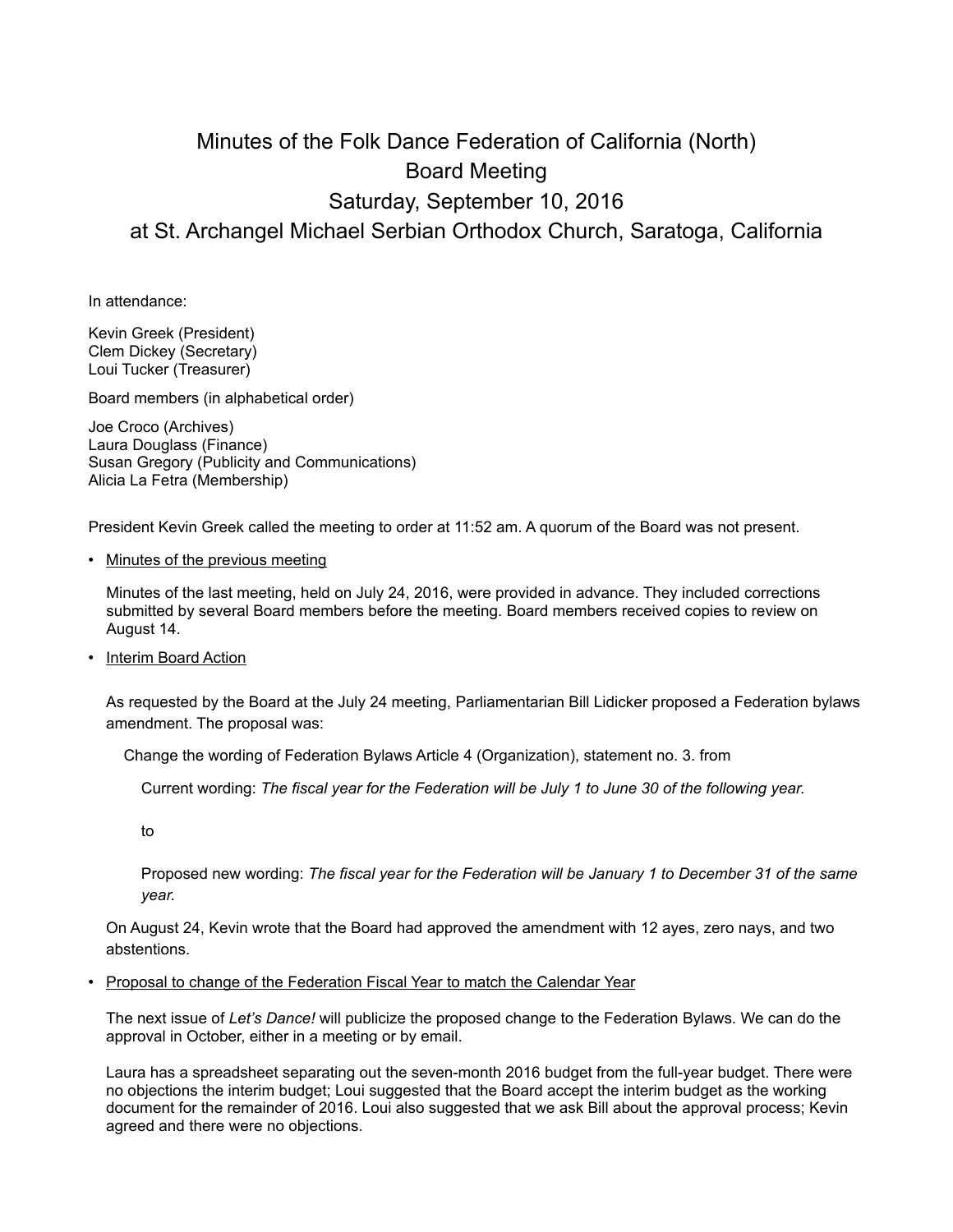## Minutes of the Folk Dance Federation of California (North) Board Meeting Saturday, September 10, 2016 at St. Archangel Michael Serbian Orthodox Church, Saratoga, California

In attendance:

Kevin Greek (President) Clem Dickey (Secretary) Loui Tucker (Treasurer)

Board members (in alphabetical order)

Joe Croco (Archives) Laura Douglass (Finance) Susan Gregory (Publicity and Communications) Alicia La Fetra (Membership)

President Kevin Greek called the meeting to order at 11:52 am. A quorum of the Board was not present.

• Minutes of the previous meeting

Minutes of the last meeting, held on July 24, 2016, were provided in advance. They included corrections submitted by several Board members before the meeting. Board members received copies to review on August 14.

• Interim Board Action

As requested by the Board at the July 24 meeting, Parliamentarian Bill Lidicker proposed a Federation bylaws amendment. The proposal was:

Change the wording of Federation Bylaws Article 4 (Organization), statement no. 3. from

Current wording: *The fiscal year for the Federation will be July 1 to June 30 of the following year.*

to

Proposed new wording: *The fiscal year for the Federation will be January 1 to December 31 of the same year.*

On August 24, Kevin wrote that the Board had approved the amendment with 12 ayes, zero nays, and two abstentions.

• Proposal to change of the Federation Fiscal Year to match the Calendar Year

The next issue of *Let's Dance!* will publicize the proposed change to the Federation Bylaws. We can do the approval in October, either in a meeting or by email.

Laura has a spreadsheet separating out the seven-month 2016 budget from the full-year budget. There were no objections the interim budget; Loui suggested that the Board accept the interim budget as the working document for the remainder of 2016. Loui also suggested that we ask Bill about the approval process; Kevin agreed and there were no objections.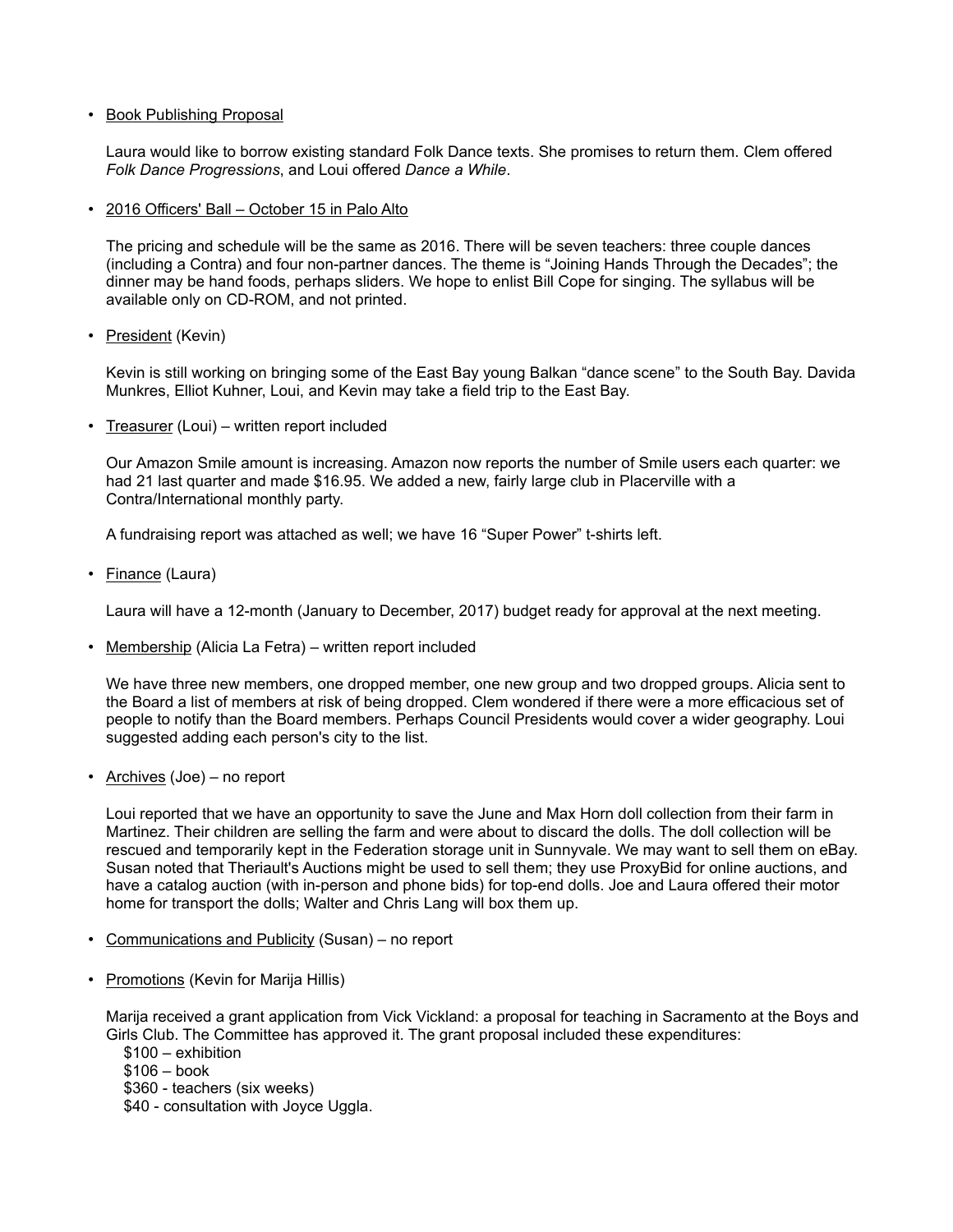## • Book Publishing Proposal

Laura would like to borrow existing standard Folk Dance texts. She promises to return them. Clem offered *Folk Dance Progressions*, and Loui offered *Dance a While*.

• 2016 Officers' Ball – October 15 in Palo Alto

The pricing and schedule will be the same as 2016. There will be seven teachers: three couple dances (including a Contra) and four non-partner dances. The theme is "Joining Hands Through the Decades"; the dinner may be hand foods, perhaps sliders. We hope to enlist Bill Cope for singing. The syllabus will be available only on CD-ROM, and not printed.

• President (Kevin)

Kevin is still working on bringing some of the East Bay young Balkan "dance scene" to the South Bay. Davida Munkres, Elliot Kuhner, Loui, and Kevin may take a field trip to the East Bay.

• Treasurer (Loui) – written report included

Our Amazon Smile amount is increasing. Amazon now reports the number of Smile users each quarter: we had 21 last quarter and made \$16.95. We added a new, fairly large club in Placerville with a Contra/International monthly party.

A fundraising report was attached as well; we have 16 "Super Power" t-shirts left.

• Finance (Laura)

Laura will have a 12-month (January to December, 2017) budget ready for approval at the next meeting.

• Membership (Alicia La Fetra) – written report included

We have three new members, one dropped member, one new group and two dropped groups. Alicia sent to the Board a list of members at risk of being dropped. Clem wondered if there were a more efficacious set of people to notify than the Board members. Perhaps Council Presidents would cover a wider geography. Loui suggested adding each person's city to the list.

• Archives (Joe) – no report

Loui reported that we have an opportunity to save the June and Max Horn doll collection from their farm in Martinez. Their children are selling the farm and were about to discard the dolls. The doll collection will be rescued and temporarily kept in the Federation storage unit in Sunnyvale. We may want to sell them on eBay. Susan noted that Theriault's Auctions might be used to sell them; they use ProxyBid for online auctions, and have a catalog auction (with in-person and phone bids) for top-end dolls. Joe and Laura offered their motor home for transport the dolls; Walter and Chris Lang will box them up.

- Communications and Publicity (Susan) no report
- Promotions (Kevin for Marija Hillis)

Marija received a grant application from Vick Vickland: a proposal for teaching in Sacramento at the Boys and Girls Club. The Committee has approved it. The grant proposal included these expenditures:

\$100 – exhibition \$106 – book \$360 - teachers (six weeks) \$40 - consultation with Joyce Uggla.